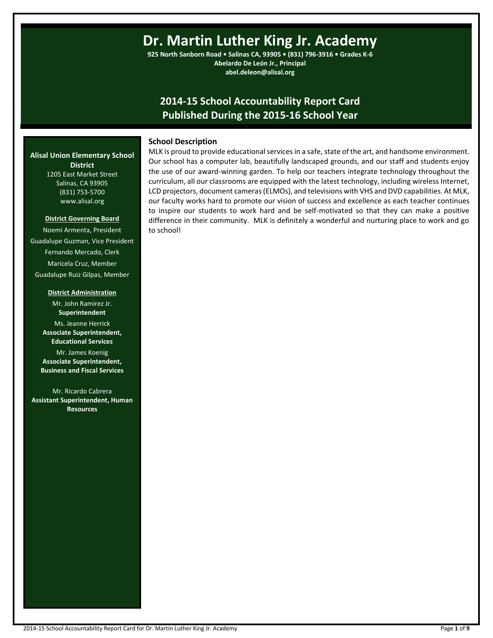# **Dr. Martin Luther King Jr. Academy**

**925 North Sanborn Road • Salinas CA, 93905 • (831) 796-3916 • Grades K-6 Abelardo De León Jr., Principal abel.deleon@alisal.org**

# **2014-15 School Accountability Report Card Published During the 2015-16 School Year**

#### **School Description**

MLK is proud to provide educational services in a safe, state of the art, and handsome environment. Our school has a computer lab, beautifully landscaped grounds, and our staff and students enjoy the use of our award-winning garden. To help our teachers integrate technology throughout the curriculum, all our classrooms are equipped with the latest technology, including wireless Internet, LCD projectors, document cameras (ELMOs), and televisions with VHS and DVD capabilities. At MLK, our faculty works hard to promote our vision of success and excellence as each teacher continues to inspire our students to work hard and be self-motivated so that they can make a positive difference in their community. MLK is definitely a wonderful and nurturing place to work and go to school!

#### **Alisal Union Elementary School District** 1205 East Market Street

Salinas, CA 93905 (831) 753-5700 www.alisal.org

#### **District Governing Board**

Noemi Armenta, President Guadalupe Guzman, Vice President Fernando Mercado, Clerk Maricela Cruz, Member Guadalupe Ruiz Gilpas, Member

#### **District Administration**

Mr. John Ramirez Jr. **Superintendent** Ms. Jeanne Herrick **Associate Superintendent, Educational Services**

Mr. James Koenig **Associate Superintendent, Business and Fiscal Services**

Mr. Ricardo Cabrera **Assistant Superintendent, Human Resources**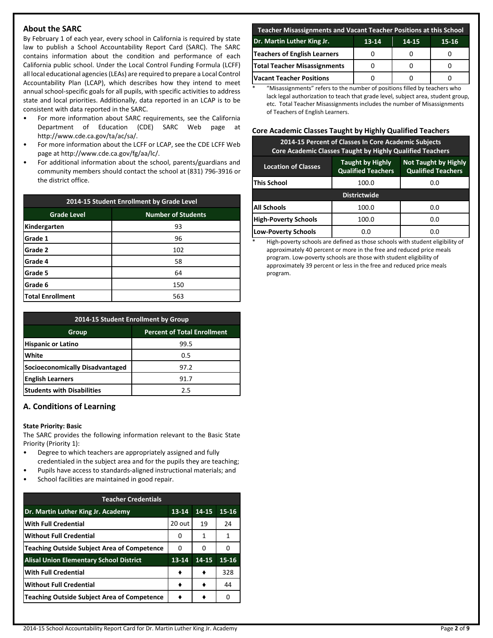# **About the SARC**

By February 1 of each year, every school in California is required by state law to publish a School Accountability Report Card (SARC). The SARC contains information about the condition and performance of each California public school. Under the Local Control Funding Formula (LCFF) all local educational agencies (LEAs) are required to prepare a Local Control Accountability Plan (LCAP), which describes how they intend to meet annual school-specific goals for all pupils, with specific activities to address state and local priorities. Additionally, data reported in an LCAP is to be consistent with data reported in the SARC.

- For more information about SARC requirements, see the California Department of Education (CDE) SARC Web page at http://www.cde.ca.gov/ta/ac/sa/.
- For more information about the LCFF or LCAP, see the CDE LCFF Web page at http://www.cde.ca.gov/fg/aa/lc/.
- For additional information about the school, parents/guardians and community members should contact the school at (831) 796-3916 or the district office.

| 2014-15 Student Enrollment by Grade Level |                           |  |  |  |
|-------------------------------------------|---------------------------|--|--|--|
| <b>Grade Level</b>                        | <b>Number of Students</b> |  |  |  |
| Kindergarten                              | 93                        |  |  |  |
| Grade 1                                   | 96                        |  |  |  |
| Grade 2                                   | 102                       |  |  |  |
| Grade 4                                   | 58                        |  |  |  |
| Grade 5                                   | 64                        |  |  |  |
| Grade 6                                   | 150                       |  |  |  |
| Total Enrollment                          | 563                       |  |  |  |

| 2014-15 Student Enrollment by Group |                                    |  |  |  |
|-------------------------------------|------------------------------------|--|--|--|
| Group                               | <b>Percent of Total Enrollment</b> |  |  |  |
| <b>Hispanic or Latino</b>           | 99.5                               |  |  |  |
| White                               | 0.5                                |  |  |  |
| Socioeconomically Disadvantaged     | 97.2                               |  |  |  |
| <b>English Learners</b>             | 91.7                               |  |  |  |
| <b>Students with Disabilities</b>   | 25                                 |  |  |  |

## **A. Conditions of Learning**

#### **State Priority: Basic**

The SARC provides the following information relevant to the Basic State Priority (Priority 1):

- Degree to which teachers are appropriately assigned and fully credentialed in the subject area and for the pupils they are teaching;
- Pupils have access to standards-aligned instructional materials; and
- School facilities are maintained in good repair.

| <b>Teacher Credentials</b>                         |           |       |           |  |  |  |
|----------------------------------------------------|-----------|-------|-----------|--|--|--|
| Dr. Martin Luther King Jr. Academy                 | $13 - 14$ | 14-15 | $15 - 16$ |  |  |  |
| <b>With Full Credential</b>                        | 20 out    | 19    | 24        |  |  |  |
| <b>Without Full Credential</b>                     | 0         | 1     | 1         |  |  |  |
| <b>Teaching Outside Subject Area of Competence</b> | 0         | 0     | O         |  |  |  |
| <b>Alisal Union Elementary School District</b>     | 13-14     | 14-15 | $15 - 16$ |  |  |  |
| <b>With Full Credential</b>                        |           |       | 328       |  |  |  |
| <b>Without Full Credential</b>                     |           |       | 44        |  |  |  |
| <b>Teaching Outside Subject Area of Competence</b> |           |       | Ω         |  |  |  |

| Teacher Misassignments and Vacant Teacher Positions at this School |  |  |  |  |  |  |
|--------------------------------------------------------------------|--|--|--|--|--|--|
| Dr. Martin Luther King Jr.<br>13-14<br>14-15<br>$15 - 16$          |  |  |  |  |  |  |
| Teachers of English Learners                                       |  |  |  |  |  |  |
| Total Teacher Misassignments                                       |  |  |  |  |  |  |
| <b>Vacant Teacher Positions</b>                                    |  |  |  |  |  |  |

\* "Misassignments" refers to the number of positions filled by teachers who lack legal authorization to teach that grade level, subject area, student group, etc. Total Teacher Misassignments includes the number of Misassignments of Teachers of English Learners.

# **Core Academic Classes Taught by Highly Qualified Teachers**

| 2014-15 Percent of Classes In Core Academic Subjects<br><b>Core Academic Classes Taught by Highly Qualified Teachers</b>                       |       |     |  |  |  |  |
|------------------------------------------------------------------------------------------------------------------------------------------------|-------|-----|--|--|--|--|
| <b>Taught by Highly</b><br><b>Not Taught by Highly</b><br><b>Location of Classes</b><br><b>Qualified Teachers</b><br><b>Qualified Teachers</b> |       |     |  |  |  |  |
| <b>This School</b>                                                                                                                             | 0.0   |     |  |  |  |  |
| <b>Districtwide</b>                                                                                                                            |       |     |  |  |  |  |
| <b>All Schools</b>                                                                                                                             | 100.0 | 0.0 |  |  |  |  |
| <b>High-Poverty Schools</b><br>100.0<br>0.0                                                                                                    |       |     |  |  |  |  |
| <b>Low-Poverty Schools</b>                                                                                                                     | n.n   | 0.O |  |  |  |  |

High-poverty schools are defined as those schools with student eligibility of approximately 40 percent or more in the free and reduced price meals program. Low-poverty schools are those with student eligibility of approximately 39 percent or less in the free and reduced price meals program.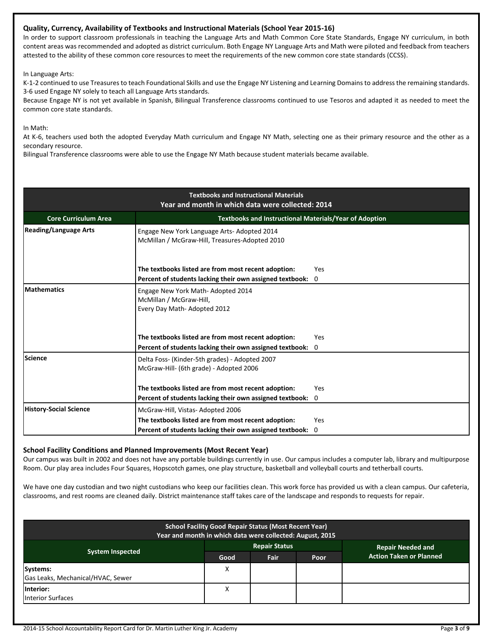## **Quality, Currency, Availability of Textbooks and Instructional Materials (School Year 2015-16)**

In order to support classroom professionals in teaching the Language Arts and Math Common Core State Standards, Engage NY curriculum, in both content areas was recommended and adopted as district curriculum. Both Engage NY Language Arts and Math were piloted and feedback from teachers attested to the ability of these common core resources to meet the requirements of the new common core state standards (CCSS).

In Language Arts:

K-1-2 continued to use Treasures to teach Foundational Skills and use the Engage NY Listening and Learning Domains to address the remaining standards. 3-6 used Engage NY solely to teach all Language Arts standards.

Because Engage NY is not yet available in Spanish, Bilingual Transference classrooms continued to use Tesoros and adapted it as needed to meet the common core state standards.

In Math:

At K-6, teachers used both the adopted Everyday Math curriculum and Engage NY Math, selecting one as their primary resource and the other as a secondary resource.

Bilingual Transference classrooms were able to use the Engage NY Math because student materials became available.

| <b>Textbooks and Instructional Materials</b><br>Year and month in which data were collected: 2014 |                                                                                                                 |                       |  |  |  |  |
|---------------------------------------------------------------------------------------------------|-----------------------------------------------------------------------------------------------------------------|-----------------------|--|--|--|--|
| <b>Core Curriculum Area</b>                                                                       | <b>Textbooks and Instructional Materials/Year of Adoption</b>                                                   |                       |  |  |  |  |
| <b>Reading/Language Arts</b>                                                                      | Engage New York Language Arts-Adopted 2014<br>McMillan / McGraw-Hill, Treasures-Adopted 2010                    |                       |  |  |  |  |
|                                                                                                   | The textbooks listed are from most recent adoption:<br>Percent of students lacking their own assigned textbook: | Yes<br>$\overline{0}$ |  |  |  |  |
| <b>Mathematics</b>                                                                                | Engage New York Math-Adopted 2014<br>McMillan / McGraw-Hill,<br>Every Day Math-Adopted 2012                     |                       |  |  |  |  |
|                                                                                                   | The textbooks listed are from most recent adoption:<br>Percent of students lacking their own assigned textbook: | Yes<br>$\overline{0}$ |  |  |  |  |
| Science                                                                                           | Delta Foss- (Kinder-5th grades) - Adopted 2007<br>McGraw-Hill- (6th grade) - Adopted 2006                       |                       |  |  |  |  |
|                                                                                                   | The textbooks listed are from most recent adoption:                                                             | Yes                   |  |  |  |  |
|                                                                                                   | Percent of students lacking their own assigned textbook:                                                        | 0                     |  |  |  |  |
| <b>History-Social Science</b>                                                                     | McGraw-Hill, Vistas-Adopted 2006                                                                                |                       |  |  |  |  |
|                                                                                                   | The textbooks listed are from most recent adoption:                                                             | Yes                   |  |  |  |  |
|                                                                                                   | Percent of students lacking their own assigned textbook:                                                        | $\Omega$              |  |  |  |  |

#### **School Facility Conditions and Planned Improvements (Most Recent Year)**

Our campus was built in 2002 and does not have any portable buildings currently in use. Our campus includes a computer lab, library and multipurpose Room. Our play area includes Four Squares, Hopscotch games, one play structure, basketball and volleyball courts and tetherball courts.

We have one day custodian and two night custodians who keep our facilities clean. This work force has provided us with a clean campus. Our cafeteria, classrooms, and rest rooms are cleaned daily. District maintenance staff takes care of the landscape and responds to requests for repair.

| <b>School Facility Good Repair Status (Most Recent Year)</b><br>Year and month in which data were collected: August, 2015 |      |                      |      |                                |  |
|---------------------------------------------------------------------------------------------------------------------------|------|----------------------|------|--------------------------------|--|
|                                                                                                                           |      | <b>Repair Status</b> |      | <b>Repair Needed and</b>       |  |
| <b>System Inspected</b>                                                                                                   | Good | <b>Fair</b>          | Poor | <b>Action Taken or Planned</b> |  |
| Systems:                                                                                                                  | х    |                      |      |                                |  |
| Gas Leaks, Mechanical/HVAC, Sewer                                                                                         |      |                      |      |                                |  |
| Interior:                                                                                                                 | ⋏    |                      |      |                                |  |
| <b>Interior Surfaces</b>                                                                                                  |      |                      |      |                                |  |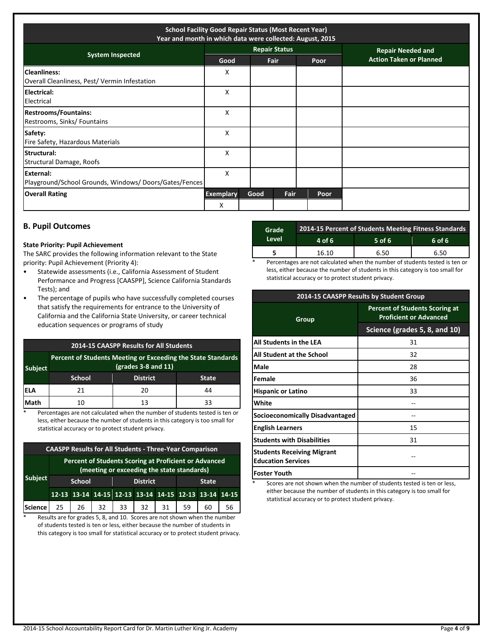| <b>School Facility Good Repair Status (Most Recent Year)</b><br>Year and month in which data were collected: August, 2015 |                       |      |                      |      |                                |
|---------------------------------------------------------------------------------------------------------------------------|-----------------------|------|----------------------|------|--------------------------------|
| <b>System Inspected</b>                                                                                                   |                       |      | <b>Repair Status</b> |      | <b>Repair Needed and</b>       |
|                                                                                                                           | Good                  |      | <b>Fair</b>          | Poor | <b>Action Taken or Planned</b> |
| <b>Cleanliness:</b><br>Overall Cleanliness, Pest/ Vermin Infestation                                                      | x                     |      |                      |      |                                |
| Electrical:<br>Electrical                                                                                                 | X                     |      |                      |      |                                |
| <b>Restrooms/Fountains:</b><br>Restrooms, Sinks/ Fountains                                                                | X                     |      |                      |      |                                |
| Safety:<br>Fire Safety, Hazardous Materials                                                                               | X                     |      |                      |      |                                |
| Structural:<br>Structural Damage, Roofs                                                                                   | X                     |      |                      |      |                                |
| External:<br>Playground/School Grounds, Windows/Doors/Gates/Fences                                                        | X                     |      |                      |      |                                |
| <b>Overall Rating</b>                                                                                                     | <b>Exemplary</b><br>x | Good | Fair                 | Poor |                                |

# **B. Pupil Outcomes**

#### **State Priority: Pupil Achievement**

The SARC provides the following information relevant to the State priority: Pupil Achievement (Priority 4):

- Statewide assessments (i.e., California Assessment of Student Performance and Progress [CAASPP], Science California Standards Tests); and
- The percentage of pupils who have successfully completed courses that satisfy the requirements for entrance to the University of California and the California State University, or career technical education sequences or programs of study

| <b>2014-15 CAASPP Results for All Students</b> |                                                                                       |                 |              |  |  |
|------------------------------------------------|---------------------------------------------------------------------------------------|-----------------|--------------|--|--|
| <b>Subject</b>                                 | Percent of Students Meeting or Exceeding the State Standards<br>$(grades 3-8 and 11)$ |                 |              |  |  |
|                                                | <b>School</b>                                                                         | <b>District</b> | <b>State</b> |  |  |
| lela                                           | 21                                                                                    | 20              | 44           |  |  |
| Math                                           | 10                                                                                    | 13              | 33           |  |  |

\* Percentages are not calculated when the number of students tested is ten or less, either because the number of students in this category is too small for statistical accuracy or to protect student privacy.

| <b>CAASPP Results for All Students - Three-Year Comparison</b> |                                                                                                     |    |                 |    |    |              |    |                                                       |    |
|----------------------------------------------------------------|-----------------------------------------------------------------------------------------------------|----|-----------------|----|----|--------------|----|-------------------------------------------------------|----|
|                                                                | Percent of Students Scoring at Proficient or Advanced<br>(meeting or exceeding the state standards) |    |                 |    |    |              |    |                                                       |    |
| <b>Subject</b>                                                 | School                                                                                              |    | <b>District</b> |    |    | <b>State</b> |    |                                                       |    |
|                                                                |                                                                                                     |    |                 |    |    |              |    | 12-13 13-14 14-15 12-13 13-14 14-15 12-13 13-14 14-15 |    |
| <b>Science</b>                                                 | 25                                                                                                  | 26 | 32              | 33 | 32 | 31           | 59 | 60                                                    | 56 |

\* Results are for grades 5, 8, and 10. Scores are not shown when the number of students tested is ten or less, either because the number of students in this category is too small for statistical accuracy or to protect student privacy.

| Grade | 2014-15 Percent of Students Meeting Fitness Standards |          |        |  |  |  |
|-------|-------------------------------------------------------|----------|--------|--|--|--|
| Level | 4 of $6$                                              | $5$ of 6 | 6 of 6 |  |  |  |
|       | 16.10                                                 | 6.50     | 6.50   |  |  |  |

Percentages are not calculated when the number of students tested is ten or less, either because the number of students in this category is too small for statistical accuracy or to protect student privacy.

|                                                                | 2014-15 CAASPP Results by Student Group                                |  |  |  |
|----------------------------------------------------------------|------------------------------------------------------------------------|--|--|--|
| Group                                                          | <b>Percent of Students Scoring at</b><br><b>Proficient or Advanced</b> |  |  |  |
|                                                                | Science (grades 5, 8, and 10)                                          |  |  |  |
| <b>All Students in the LEA</b>                                 | 31                                                                     |  |  |  |
| <b>All Student at the School</b>                               | 32                                                                     |  |  |  |
| <b>Male</b>                                                    | 28                                                                     |  |  |  |
| <b>Female</b>                                                  | 36                                                                     |  |  |  |
| <b>Hispanic or Latino</b>                                      | 33                                                                     |  |  |  |
| <b>White</b>                                                   |                                                                        |  |  |  |
| <b>Socioeconomically Disadvantaged</b>                         |                                                                        |  |  |  |
| <b>English Learners</b>                                        | 15                                                                     |  |  |  |
| <b>Students with Disabilities</b>                              | 31                                                                     |  |  |  |
| <b>Students Receiving Migrant</b><br><b>Education Services</b> |                                                                        |  |  |  |
| <b>Foster Youth</b>                                            |                                                                        |  |  |  |

Scores are not shown when the number of students tested is ten or less, either because the number of students in this category is too small for statistical accuracy or to protect student privacy.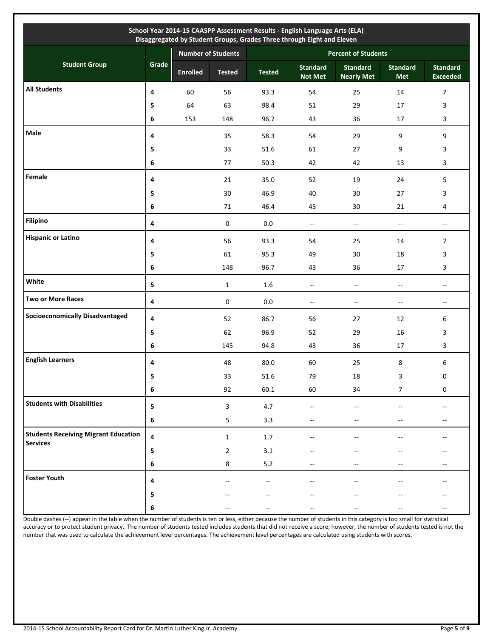| School Year 2014-15 CAASPP Assessment Results - English Language Arts (ELA)<br>Disaggregated by Student Groups, Grades Three through Eight and Eleven |       |                           |                |                            |                                   |                                      |                          |                                    |  |
|-------------------------------------------------------------------------------------------------------------------------------------------------------|-------|---------------------------|----------------|----------------------------|-----------------------------------|--------------------------------------|--------------------------|------------------------------------|--|
| <b>Student Group</b>                                                                                                                                  |       | <b>Number of Students</b> |                | <b>Percent of Students</b> |                                   |                                      |                          |                                    |  |
|                                                                                                                                                       | Grade | <b>Enrolled</b>           | <b>Tested</b>  | <b>Tested</b>              | <b>Standard</b><br><b>Not Met</b> | <b>Standard</b><br><b>Nearly Met</b> | <b>Standard</b><br>Met   | <b>Standard</b><br><b>Exceeded</b> |  |
| <b>All Students</b>                                                                                                                                   | 4     | 60                        | 56             | 93.3                       | 54                                | 25                                   | 14                       | $\overline{7}$                     |  |
|                                                                                                                                                       | 5     | 64                        | 63             | 98.4                       | 51                                | 29                                   | 17                       | 3                                  |  |
|                                                                                                                                                       | 6     | 153                       | 148            | 96.7                       | 43                                | 36                                   | 17                       | 3                                  |  |
| Male                                                                                                                                                  | 4     |                           | 35             | 58.3                       | 54                                | 29                                   | 9                        | 9                                  |  |
|                                                                                                                                                       | 5     |                           | 33             | 51.6                       | 61                                | 27                                   | 9                        | 3                                  |  |
|                                                                                                                                                       | 6     |                           | 77             | 50.3                       | 42                                | 42                                   | 13                       | 3                                  |  |
| Female                                                                                                                                                | 4     |                           | 21             | 35.0                       | 52                                | 19                                   | 24                       | 5                                  |  |
|                                                                                                                                                       | 5     |                           | 30             | 46.9                       | 40                                | 30                                   | 27                       | 3                                  |  |
|                                                                                                                                                       | 6     |                           | 71             | 46.4                       | 45                                | 30                                   | 21                       | 4                                  |  |
| <b>Filipino</b>                                                                                                                                       | 4     |                           | $\pmb{0}$      | $0.0\,$                    | $\overline{\phantom{a}}$          | $\sim$                               | $\sim$                   | $\overline{\phantom{a}}$           |  |
| <b>Hispanic or Latino</b>                                                                                                                             | 4     |                           | 56             | 93.3                       | 54                                | 25                                   | 14                       | $\overline{7}$                     |  |
|                                                                                                                                                       | 5     |                           | 61             | 95.3                       | 49                                | 30                                   | 18                       | 3                                  |  |
|                                                                                                                                                       | 6     |                           | 148            | 96.7                       | 43                                | 36                                   | 17                       | 3                                  |  |
| White                                                                                                                                                 | 5     |                           | $\mathbf{1}$   | $1.6\,$                    | Ξ.                                | Ξ.                                   | $\overline{\phantom{a}}$ | $\overline{\phantom{a}}$           |  |
| <b>Two or More Races</b>                                                                                                                              | 4     |                           | $\pmb{0}$      | $0.0\,$                    | $\overline{\phantom{a}}$          | $\sim$                               | $\overline{\phantom{a}}$ | $\sim$                             |  |
| <b>Socioeconomically Disadvantaged</b>                                                                                                                | 4     |                           | 52             | 86.7                       | 56                                | 27                                   | 12                       | 6                                  |  |
|                                                                                                                                                       | 5     |                           | 62             | 96.9                       | 52                                | 29                                   | 16                       | 3                                  |  |
|                                                                                                                                                       | 6     |                           | 145            | 94.8                       | 43                                | 36                                   | 17                       | 3                                  |  |
| <b>English Learners</b>                                                                                                                               | 4     |                           | 48             | 80.0                       | 60                                | 25                                   | 8                        | 6                                  |  |
|                                                                                                                                                       | 5     |                           | 33             | 51.6                       | 79                                | 18                                   | 3                        | 0                                  |  |
|                                                                                                                                                       | 6     |                           | 92             | 60.1                       | 60                                | 34                                   | 7                        | 0                                  |  |
| <b>Students with Disabilities</b>                                                                                                                     | 5     |                           | 3              | 4.7                        | $\overline{\phantom{a}}$          | $\overline{\phantom{a}}$             |                          | $- -$                              |  |
|                                                                                                                                                       | 6     |                           | 5              | 3.3                        | $-$                               | $\overline{\phantom{a}}$             | $-$                      | $\overline{\phantom{a}}$           |  |
| <b>Students Receiving Migrant Education</b><br><b>Services</b>                                                                                        | 4     |                           | $\mathbf{1}$   | 1.7                        | $\overline{a}$                    |                                      |                          | $-$                                |  |
|                                                                                                                                                       | 5     |                           | $\overline{2}$ | 3.1                        |                                   |                                      |                          |                                    |  |
|                                                                                                                                                       | 6     |                           | 8              | 5.2                        |                                   |                                      |                          | $- -$                              |  |
| <b>Foster Youth</b>                                                                                                                                   | 4     |                           |                |                            |                                   |                                      |                          |                                    |  |
|                                                                                                                                                       | 5     |                           |                |                            |                                   |                                      |                          | --                                 |  |
|                                                                                                                                                       | 6     |                           |                |                            |                                   |                                      |                          | --                                 |  |

Double dashes (--) appear in the table when the number of students is ten or less, either because the number of students in this category is too small for statistical accuracy or to protect student privacy. The number of students tested includes students that did not receive a score; however, the number of students tested is not the number that was used to calculate the achievement level percentages. The achievement level percentages are calculated using students with scores.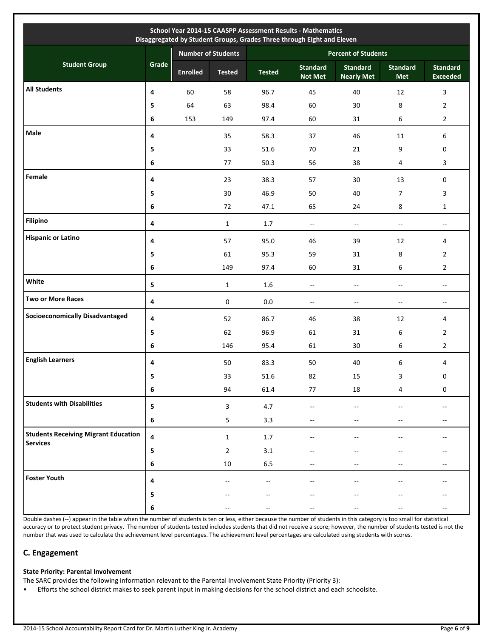| School Year 2014-15 CAASPP Assessment Results - Mathematics<br>Disaggregated by Student Groups, Grades Three through Eight and Eleven |           |                 |                           |                            |                                   |                                      |                               |                                                     |  |
|---------------------------------------------------------------------------------------------------------------------------------------|-----------|-----------------|---------------------------|----------------------------|-----------------------------------|--------------------------------------|-------------------------------|-----------------------------------------------------|--|
|                                                                                                                                       |           |                 | <b>Number of Students</b> | <b>Percent of Students</b> |                                   |                                      |                               |                                                     |  |
| <b>Student Group</b>                                                                                                                  | Grade     | <b>Enrolled</b> | <b>Tested</b>             | <b>Tested</b>              | <b>Standard</b><br><b>Not Met</b> | <b>Standard</b><br><b>Nearly Met</b> | <b>Standard</b><br><b>Met</b> | <b>Standard</b><br><b>Exceeded</b>                  |  |
| <b>All Students</b>                                                                                                                   | 4         | 60              | 58                        | 96.7                       | 45                                | 40                                   | 12                            | 3                                                   |  |
|                                                                                                                                       | 5         | 64              | 63                        | 98.4                       | 60                                | 30                                   | 8                             | $\overline{2}$                                      |  |
|                                                                                                                                       | 6         | 153             | 149                       | 97.4                       | 60                                | 31                                   | 6                             | $\overline{2}$                                      |  |
| Male                                                                                                                                  | 4         |                 | 35                        | 58.3                       | 37                                | 46                                   | 11                            | 6                                                   |  |
|                                                                                                                                       | 5         |                 | 33                        | 51.6                       | 70                                | 21                                   | 9                             | 0                                                   |  |
|                                                                                                                                       | 6         |                 | 77                        | 50.3                       | 56                                | 38                                   | 4                             | 3                                                   |  |
| Female                                                                                                                                | 4         |                 | 23                        | 38.3                       | 57                                | 30                                   | 13                            | 0                                                   |  |
|                                                                                                                                       | 5         |                 | 30                        | 46.9                       | 50                                | 40                                   | $\overline{7}$                | 3                                                   |  |
|                                                                                                                                       | 6         |                 | 72                        | 47.1                       | 65                                | 24                                   | 8                             | $\mathbf{1}$                                        |  |
| <b>Filipino</b>                                                                                                                       | 4         |                 | $\mathbf{1}$              | 1.7                        | $\overline{\phantom{a}}$          | $\sim$                               | $\overline{\phantom{a}}$      | $\overline{\phantom{a}}$                            |  |
| <b>Hispanic or Latino</b>                                                                                                             | 4         |                 | 57                        | 95.0                       | 46                                | 39                                   | 12                            | 4                                                   |  |
|                                                                                                                                       | 5         |                 | 61                        | 95.3                       | 59                                | 31                                   | 8                             | $\overline{2}$                                      |  |
|                                                                                                                                       | 6         |                 | 149                       | 97.4                       | 60                                | 31                                   | 6                             | $\overline{2}$                                      |  |
| White                                                                                                                                 | 5         |                 | $\mathbf{1}$              | $1.6\,$                    | Ξ.                                | $\overline{\phantom{a}}$             | --                            | $\overline{a}$                                      |  |
| <b>Two or More Races</b>                                                                                                              | $\pmb{4}$ |                 | $\mathbf 0$               | $0.0\,$                    | $\overline{\phantom{a}}$          | $\overline{\phantom{a}}$             | --                            | $\overline{\phantom{a}}$                            |  |
| <b>Socioeconomically Disadvantaged</b>                                                                                                | 4         |                 | 52                        | 86.7                       | 46                                | 38                                   | 12                            | 4                                                   |  |
|                                                                                                                                       | 5         |                 | 62                        | 96.9                       | 61                                | 31                                   | 6                             | 2                                                   |  |
|                                                                                                                                       | 6         |                 | 146                       | 95.4                       | 61                                | 30                                   | 6                             | $\overline{2}$                                      |  |
| <b>English Learners</b>                                                                                                               | 4         |                 | 50                        | 83.3                       | 50                                | 40                                   | 6                             | 4                                                   |  |
|                                                                                                                                       | 5         |                 | 33                        | 51.6                       | 82                                | 15                                   | 3                             | 0                                                   |  |
|                                                                                                                                       | $\bf 6$   |                 | 94                        | 61.4                       | 77                                | 18                                   | 4                             | $\mathbf 0$                                         |  |
| <b>Students with Disabilities</b>                                                                                                     | 5         |                 | $\overline{\mathbf{3}}$   | 4.7                        | --                                |                                      |                               | $\hspace{0.05cm} -\hspace{0.05cm} -\hspace{0.05cm}$ |  |
|                                                                                                                                       | 6         |                 | 5                         | 3.3                        |                                   |                                      |                               | $- -$                                               |  |
| <b>Students Receiving Migrant Education</b><br><b>Services</b>                                                                        | 4         |                 | $\mathbf{1}$              | $1.7\,$                    |                                   |                                      |                               |                                                     |  |
|                                                                                                                                       | 5         |                 | $\overline{2}$            | 3.1                        |                                   |                                      |                               |                                                     |  |
|                                                                                                                                       | 6         |                 | $10\,$                    | $6.5\,$                    |                                   |                                      |                               | $-$                                                 |  |
| <b>Foster Youth</b>                                                                                                                   | 4         |                 |                           |                            |                                   |                                      |                               |                                                     |  |
|                                                                                                                                       | 5         |                 |                           |                            |                                   |                                      |                               |                                                     |  |
|                                                                                                                                       | 6         |                 |                           |                            |                                   |                                      |                               |                                                     |  |

Double dashes (--) appear in the table when the number of students is ten or less, either because the number of students in this category is too small for statistical accuracy or to protect student privacy. The number of students tested includes students that did not receive a score; however, the number of students tested is not the number that was used to calculate the achievement level percentages. The achievement level percentages are calculated using students with scores.

# **C. Engagement**

#### **State Priority: Parental Involvement**

- The SARC provides the following information relevant to the Parental Involvement State Priority (Priority 3):
- Efforts the school district makes to seek parent input in making decisions for the school district and each schoolsite.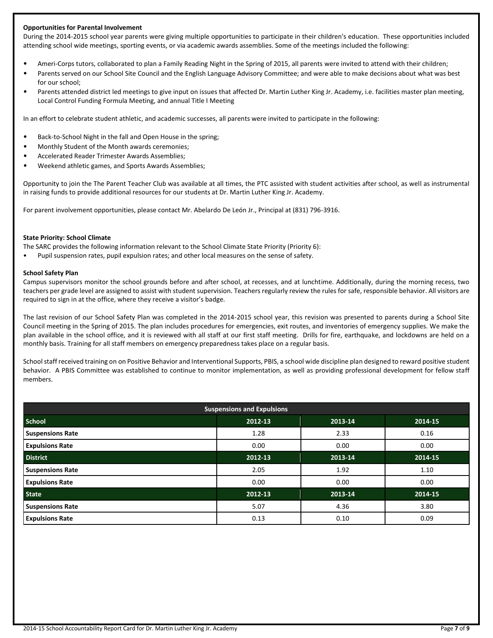#### **Opportunities for Parental Involvement**

During the 2014-2015 school year parents were giving multiple opportunities to participate in their children's education. These opportunities included attending school wide meetings, sporting events, or via academic awards assemblies. Some of the meetings included the following:

- Ameri-Corps tutors, collaborated to plan a Family Reading Night in the Spring of 2015, all parents were invited to attend with their children;
- Parents served on our School Site Council and the English Language Advisory Committee; and were able to make decisions about what was best for our school;
- Parents attended district led meetings to give input on issues that affected Dr. Martin Luther King Jr. Academy, i.e. facilities master plan meeting, Local Control Funding Formula Meeting, and annual Title I Meeting

In an effort to celebrate student athletic, and academic successes, all parents were invited to participate in the following:

- Back-to-School Night in the fall and Open House in the spring;
- Monthly Student of the Month awards ceremonies;
- Accelerated Reader Trimester Awards Assemblies;
- Weekend athletic games, and Sports Awards Assemblies;

Opportunity to join the The Parent Teacher Club was available at all times, the PTC assisted with student activities after school, as well as instrumental in raising funds to provide additional resources for our students at Dr. Martin Luther King Jr. Academy.

For parent involvement opportunities, please contact Mr. Abelardo De León Jr., Principal at (831) 796-3916.

#### **State Priority: School Climate**

The SARC provides the following information relevant to the School Climate State Priority (Priority 6):

• Pupil suspension rates, pupil expulsion rates; and other local measures on the sense of safety.

#### **School Safety Plan**

Campus supervisors monitor the school grounds before and after school, at recesses, and at lunchtime. Additionally, during the morning recess, two teachers per grade level are assigned to assist with student supervision. Teachers regularly review the rules for safe, responsible behavior. All visitors are required to sign in at the office, where they receive a visitor's badge.

The last revision of our School Safety Plan was completed in the 2014-2015 school year, this revision was presented to parents during a School Site Council meeting in the Spring of 2015. The plan includes procedures for emergencies, exit routes, and inventories of emergency supplies. We make the plan available in the school office, and it is reviewed with all staff at our first staff meeting. Drills for fire, earthquake, and lockdowns are held on a monthly basis. Training for all staff members on emergency preparedness takes place on a regular basis.

School staff received training on on Positive Behavior and Interventional Supports, PBIS, a school wide discipline plan designed to reward positive student behavior. A PBIS Committee was established to continue to monitor implementation, as well as providing professional development for fellow staff members.

| <b>Suspensions and Expulsions</b> |         |         |         |  |  |  |  |
|-----------------------------------|---------|---------|---------|--|--|--|--|
| <b>School</b>                     | 2012-13 | 2013-14 | 2014-15 |  |  |  |  |
| <b>Suspensions Rate</b>           | 1.28    | 2.33    | 0.16    |  |  |  |  |
| <b>Expulsions Rate</b>            | 0.00    | 0.00    | 0.00    |  |  |  |  |
| <b>District</b>                   | 2012-13 | 2013-14 | 2014-15 |  |  |  |  |
| <b>Suspensions Rate</b>           | 2.05    | 1.92    | 1.10    |  |  |  |  |
| <b>Expulsions Rate</b>            | 0.00    | 0.00    | 0.00    |  |  |  |  |
| <b>State</b>                      | 2012-13 | 2013-14 | 2014-15 |  |  |  |  |
| <b>Suspensions Rate</b>           | 5.07    | 4.36    | 3.80    |  |  |  |  |
| <b>Expulsions Rate</b>            | 0.13    | 0.10    | 0.09    |  |  |  |  |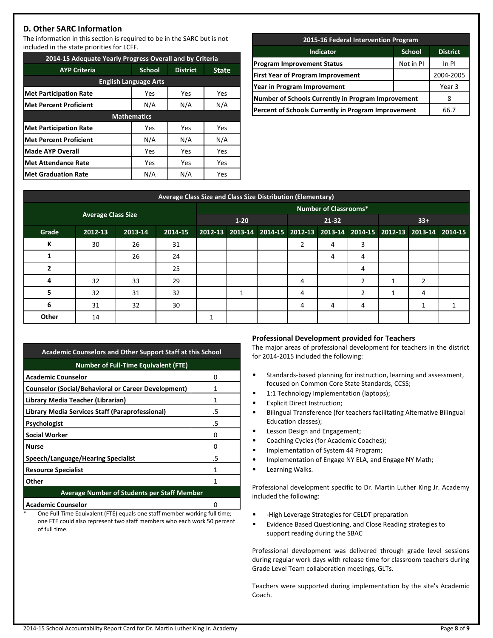# **D. Other SARC Information**

The information in this section is required to be in the SARC but is not included in the state priorities for LCFF.

| 2014-15 Adequate Yearly Progress Overall and by Criteria |                    |                 |              |  |  |  |  |  |
|----------------------------------------------------------|--------------------|-----------------|--------------|--|--|--|--|--|
| <b>AYP Criteria</b>                                      | <b>School</b>      | <b>District</b> | <b>State</b> |  |  |  |  |  |
| <b>English Language Arts</b>                             |                    |                 |              |  |  |  |  |  |
| <b>Met Participation Rate</b>                            | Yes                | Yes             | Yes          |  |  |  |  |  |
| <b>Met Percent Proficient</b>                            | N/A                | N/A<br>N/A      |              |  |  |  |  |  |
|                                                          | <b>Mathematics</b> |                 |              |  |  |  |  |  |
| <b>Met Participation Rate</b>                            | Yes                | Yes             | Yes          |  |  |  |  |  |
| <b>Met Percent Proficient</b>                            | N/A                | N/A             | N/A          |  |  |  |  |  |
| Made AYP Overall                                         | Yes                | Yes             | Yes          |  |  |  |  |  |
| <b>Met Attendance Rate</b>                               | Yes                | Yes             | Yes          |  |  |  |  |  |
| <b>Met Graduation Rate</b>                               | N/A                | N/A             | Yes          |  |  |  |  |  |

| 2015-16 Federal Intervention Program                      |           |  |  |  |  |  |  |
|-----------------------------------------------------------|-----------|--|--|--|--|--|--|
| <b>Indicator</b><br><b>School</b>                         |           |  |  |  |  |  |  |
| <b>Program Improvement Status</b>                         | In PI     |  |  |  |  |  |  |
| <b>First Year of Program Improvement</b>                  | 2004-2005 |  |  |  |  |  |  |
| Year in Program Improvement                               | Year 3    |  |  |  |  |  |  |
| <b>Number of Schools Currently in Program Improvement</b> | 8         |  |  |  |  |  |  |
| Percent of Schools Currently in Program Improvement       | 66.7      |  |  |  |  |  |  |
|                                                           |           |  |  |  |  |  |  |

| Average Class Size and Class Size Distribution (Elementary) |         |         |         |                              |   |  |                                                                         |   |   |       |   |  |
|-------------------------------------------------------------|---------|---------|---------|------------------------------|---|--|-------------------------------------------------------------------------|---|---|-------|---|--|
|                                                             |         |         |         | <b>Number of Classrooms*</b> |   |  |                                                                         |   |   |       |   |  |
| <b>Average Class Size</b>                                   |         |         |         | $1 - 20$                     |   |  | 21-32                                                                   |   |   | $33+$ |   |  |
| Grade                                                       | 2012-13 | 2013-14 | 2014-15 |                              |   |  | 2012-13 2013-14 2014-15 2012-13 2013-14 2014-15 2012-13 2013-14 2014-15 |   |   |       |   |  |
| К                                                           | 30      | 26      | 31      |                              |   |  | 2                                                                       | 4 | 3 |       |   |  |
|                                                             |         | 26      | 24      |                              |   |  |                                                                         | 4 | 4 |       |   |  |
|                                                             |         |         | 25      |                              |   |  |                                                                         |   | 4 |       |   |  |
| 4                                                           | 32      | 33      | 29      |                              |   |  | 4                                                                       |   | 2 |       | 2 |  |
| 5                                                           | 32      | 31      | 32      |                              | 1 |  | 4                                                                       |   | 2 | 1     | 4 |  |
| 6                                                           | 31      | 32      | 30      |                              |   |  | 4                                                                       | 4 | 4 |       |   |  |
| Other                                                       | 14      |         |         |                              |   |  |                                                                         |   |   |       |   |  |

| <b>Academic Counselors and Other Support Staff at this School</b> |    |  |  |  |  |  |  |
|-------------------------------------------------------------------|----|--|--|--|--|--|--|
| <b>Number of Full-Time Equivalent (FTE)</b>                       |    |  |  |  |  |  |  |
| <b>Academic Counselor</b>                                         | n  |  |  |  |  |  |  |
| <b>Counselor (Social/Behavioral or Career Development)</b>        | 1  |  |  |  |  |  |  |
| Library Media Teacher (Librarian)                                 | 1  |  |  |  |  |  |  |
| Library Media Services Staff (Paraprofessional)                   | .5 |  |  |  |  |  |  |
| Psychologist                                                      | .5 |  |  |  |  |  |  |
| <b>Social Worker</b>                                              | Ω  |  |  |  |  |  |  |
| <b>Nurse</b>                                                      | O  |  |  |  |  |  |  |
| Speech/Language/Hearing Specialist                                | .5 |  |  |  |  |  |  |
| <b>Resource Specialist</b>                                        | 1  |  |  |  |  |  |  |
| Other                                                             | 1  |  |  |  |  |  |  |
| <b>Average Number of Students per Staff Member</b>                |    |  |  |  |  |  |  |
| <b>Academic Counselor</b>                                         |    |  |  |  |  |  |  |

One Full Time Equivalent (FTE) equals one staff member working full time; one FTE could also represent two staff members who each work 50 percent of full time.

#### **Professional Development provided for Teachers**

The major areas of professional development for teachers in the district for 2014-2015 included the following:

- Standards-based planning for instruction, learning and assessment, focused on Common Core State Standards, CCSS;
- 1:1 Technology Implementation (laptops);
- Explicit Direct Instruction;
- Bilingual Transference (for teachers facilitating Alternative Bilingual Education classes);
- Lesson Design and Engagement;
- Coaching Cycles (for Academic Coaches);
- Implementation of System 44 Program;
- Implementation of Engage NY ELA, and Engage NY Math;
- Learning Walks.

Professional development specific to Dr. Martin Luther King Jr. Academy included the following:

- -High Leverage Strategies for CELDT preparation
- Evidence Based Questioning, and Close Reading strategies to support reading during the SBAC

Professional development was delivered through grade level sessions during regular work days with release time for classroom teachers during Grade Level Team collaboration meetings, GLTs.

Teachers were supported during implementation by the site's Academic Coach.